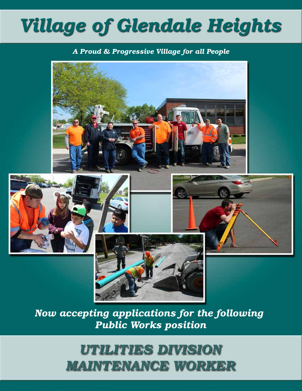# *Village of Glendale Heights*

#### *A Proud & Progressive Village for all People*



*Now accepting applications for the following Public Works position*

> *UTILITIES DIVISION MAINTENANCE WORKER*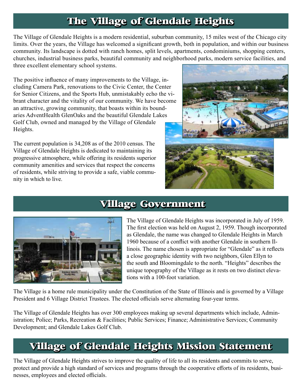# **The Village of Glendale Heights**

The Village of Glendale Heights is a modern residential, suburban community, 15 miles west of the Chicago city limits. Over the years, the Village has welcomed a significant growth, both in population, and within our business community. Its landscape is dotted with ranch homes, split levels, apartments, condominiums, shopping centers, churches, industrial business parks, beautiful community and neighborhood parks, modern service facilities, and three excellent elementary school systems.

The positive influence of many improvements to the Village, including Camera Park, renovations to the Civic Center, the Center for Senior Citizens, and the Sports Hub, unmistakably echo the vibrant character and the vitality of our community. We have become an attractive, growing community, that boasts within its boundaries AdventHealth GlenOaks and the beautiful Glendale Lakes Golf Club, owned and managed by the Village of Glendale Heights.

The current population is 34,208 as of the 2010 census. The Village of Glendale Heights is dedicated to maintaining its progressive atmosphere, while offering its residents superior community amenities and services that respect the concerns of residents, while striving to provide a safe, viable community in which to live.



### **Village Government**



The Village of Glendale Heights was incorporated in July of 1959. The first election was held on August 2, 1959. Though incorporated as Glendale, the name was changed to Glendale Heights in March 1960 because of a conflict with another Glendale in southern Illinois. The name chosen is appropriate for "Glendale" as it reflects a close geographic identity with two neighbors, Glen Ellyn to the south and Bloomingdale to the north. "Heights" describes the unique topography of the Village as it rests on two distinct elevations with a 100-foot variation.

The Village is a home rule municipality under the Constitution of the State of Illinois and is governed by a Village President and 6 Village District Trustees. The elected officials serve alternating four-year terms.

The Village of Glendale Heights has over 300 employees making up several departments which include, Administration; Police; Parks, Recreation & Facilities; Public Services; Finance; Administrative Services; Community Development; and Glendale Lakes Golf Club.

## **Village of Glendale Heights Mission Statement**

The Village of Glendale Heights strives to improve the quality of life to all its residents and commits to serve, protect and provide a high standard of services and programs through the cooperative efforts of its residents, businesses, employees and elected officials.